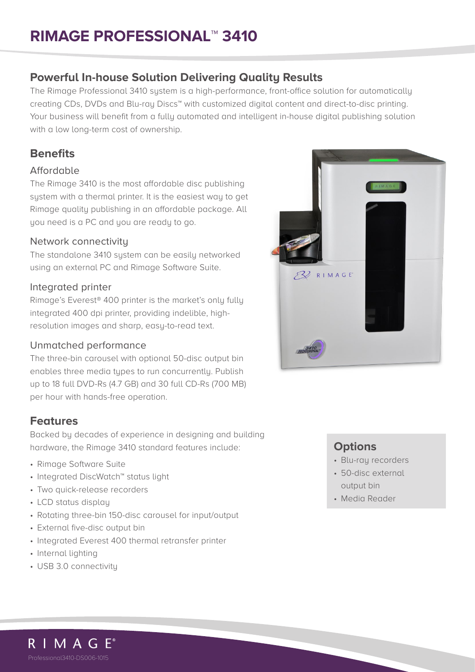# **RIMAGE PROFESSIONAL**™ **3410**

## **Powerful In-house Solution Delivering Quality Results**

The Rimage Professional 3410 system is a high-performance, front-office solution for automatically creating CDs, DVDs and Blu-ray Discs™ with customized digital content and direct-to-disc printing. Your business will benefit from a fully automated and intelligent in-house digital publishing solution with a low long-term cost of ownership.

## **Benefits**

#### Affordable

The Rimage 3410 is the most affordable disc publishing system with a thermal printer. It is the easiest way to get Rimage quality publishing in an affordable package. All you need is a PC and you are ready to go.

## Network connectivity

The standalone 3410 system can be easily networked using an external PC and Rimage Software Suite.

## Integrated printer

Rimage's Everest® 400 printer is the market's only fully integrated 400 dpi printer, providing indelible, highresolution images and sharp, easy-to-read text.

## Unmatched performance

The three-bin carousel with optional 50-disc output bin enables three media types to run concurrently. Publish up to 18 full DVD-Rs (4.7 GB) and 30 full CD-Rs (700 MB) per hour with hands-free operation.

## **Features**

Backed by decades of experience in designing and building hardware, the Rimage 3410 standard features include:

- Rimage Software Suite
- Integrated DiscWatch™ status light
- Two quick-release recorders
- LCD status display
- Rotating three-bin 150-disc carousel for input/output
- External five-disc output bin
- Integrated Everest 400 thermal retransfer printer
- Internal lighting
- USB 3.0 connectivity



## **Options**

- Blu-ray recorders
- 50-disc external output bin
- Media Reader